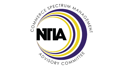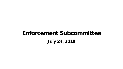# **Enforcement Subcommittee July 24, 2018**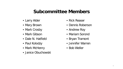#### **Subcommittee Members**

- Larry Alder
- Mary Brown
- Mark Crosby
- Mark Gibson
- Dale N. Hatfield
- Paul Kolodzy
- Mark McHenry
- Janice Obuchowski
- Rick Reaser
- Dennis Roberson
- Andrew Roy
- Mariam Sorond
- Bryan Tramont
- Jennifer Warren
- Bob Weller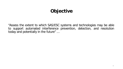# Objective

"Assess the extent to which SAS/ESC systems and technologies may be able to support automated interference prevention, detection, and resolution today and potentially in the future" ...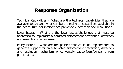## **Response Organization**

- Technical Capabilities What are the technical capabilities that are available today, and what can be the technical capabilities available in the near future for interference prevention, detection and resolution?
- Legal Issues What are the legal issues/challenges that must be addressed to implement automated enforcement prevention, detection and resolution mechanisms?
- Policy Issues What are the policies that could be implemented to generate support for an automated enforcement prevention, detection and resolution mechanism, or conversely, cause fears/concerns from participants?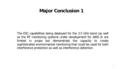#### **Major Conclusion 1**

The ESC capabilities being deployed for the 3.5 GHz band (as well as the RF monitoring systems under development for AWS-3) are limited in scope but demonstrate the capacity to create sophisticated environmental monitoring that could be used for both interference protection as well as interference detection.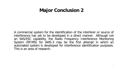## **Major Conclusion 2**

A commercial system for the identification of the interferer or source of interference has yet to be developed in a direct manner. Although not an SAS/ESC capability, the Radio Frequency Interference Monitoring System (RFIMS) for AWS-3 may be the first attempt in which an automated system is developed for interference identification purposes. This is an area of research.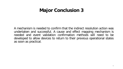## **Major Conclusion 3**

A mechanism is needed to confirm that the indirect resolution action was undertaken and successful. A cause and effect mapping mechanism is needed and event validation confirmation methods will need to be developed to allow devices to return to their previous operational states as soon as practical.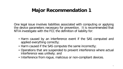One legal issue involves liabilities associated with computing or applying the device parameters necessary for prevention. It is recommended that NTIA investigate with the FCC the definition of liability for:

- Harm caused by an interference event if the SAS computed and applied everything correctly;
- Harm caused if the SAS computes the same incorrectly;
- Operations that are suspended to prevent interference where actual interference was unlikely; and
- Interference from rogue, malicious or non-compliant devices.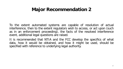To the extent automated systems are capable of resolution of actual interference, then to the extent regulators wish to access, or act upon (such as in an enforcement proceeding), the facts of the resolved interference event, additional legal questions are raised.

It is recommended that NTIA and the FCC develop the specifics of what data, how it would be obtained, and how it might be used, should be specified with reference to underlying legal authority.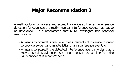A methodology to validate and accredit a device so that an interference detection function could directly monitor interference events has yet to be developed. It is recommend that NTIA investigate two potential mechanisms:

- A means to accredit signal level measurements at a device in order to provide evidential characteristics of an interference event; or
- A means to accredit the detected interference event in order that it may be used as evidence. Securing a consensus baseline from the SASs providers is recommended.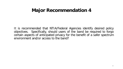It is recommended that NTIA/Federal Agencies identify desired policy objectives. Specifically, should users of the band be required to forgo certain aspects of anticipated privacy for the benefit of a safer spectrum environment and/or access to the band?